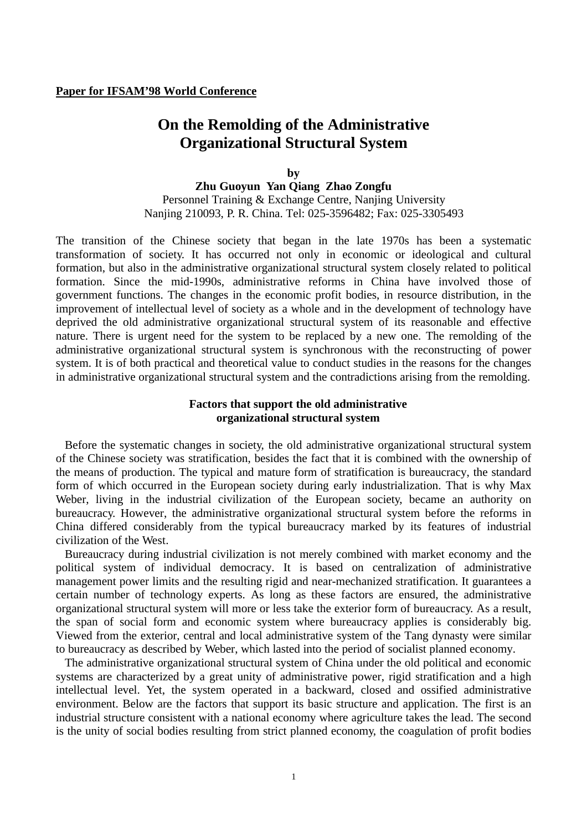# **On the Remolding of the Administrative Organizational Structural System**

**by Zhu Guoyun Yan Qiang Zhao Zongfu** Personnel Training & Exchange Centre, Nanjing University Nanjing 210093, P. R. China. Tel: 025-3596482; Fax: 025-3305493

The transition of the Chinese society that began in the late 1970s has been a systematic transformation of society. It has occurred not only in economic or ideological and cultural formation, but also in the administrative organizational structural system closely related to political formation. Since the mid-1990s, administrative reforms in China have involved those of government functions. The changes in the economic profit bodies, in resource distribution, in the improvement of intellectual level of society as a whole and in the development of technology have deprived the old administrative organizational structural system of its reasonable and effective nature. There is urgent need for the system to be replaced by a new one. The remolding of the administrative organizational structural system is synchronous with the reconstructing of power system. It is of both practical and theoretical value to conduct studies in the reasons for the changes in administrative organizational structural system and the contradictions arising from the remolding.

### **Factors that support the old administrative organizational structural system**

Before the systematic changes in society, the old administrative organizational structural system of the Chinese society was stratification, besides the fact that it is combined with the ownership of the means of production. The typical and mature form of stratification is bureaucracy, the standard form of which occurred in the European society during early industrialization. That is why Max Weber, living in the industrial civilization of the European society, became an authority on bureaucracy. However, the administrative organizational structural system before the reforms in China differed considerably from the typical bureaucracy marked by its features of industrial civilization of the West.

Bureaucracy during industrial civilization is not merely combined with market economy and the political system of individual democracy. It is based on centralization of administrative management power limits and the resulting rigid and near-mechanized stratification. It guarantees a certain number of technology experts. As long as these factors are ensured, the administrative organizational structural system will more or less take the exterior form of bureaucracy. As a result, the span of social form and economic system where bureaucracy applies is considerably big. Viewed from the exterior, central and local administrative system of the Tang dynasty were similar to bureaucracy as described by Weber, which lasted into the period of socialist planned economy.

The administrative organizational structural system of China under the old political and economic systems are characterized by a great unity of administrative power, rigid stratification and a high intellectual level. Yet, the system operated in a backward, closed and ossified administrative environment. Below are the factors that support its basic structure and application. The first is an industrial structure consistent with a national economy where agriculture takes the lead. The second is the unity of social bodies resulting from strict planned economy, the coagulation of profit bodies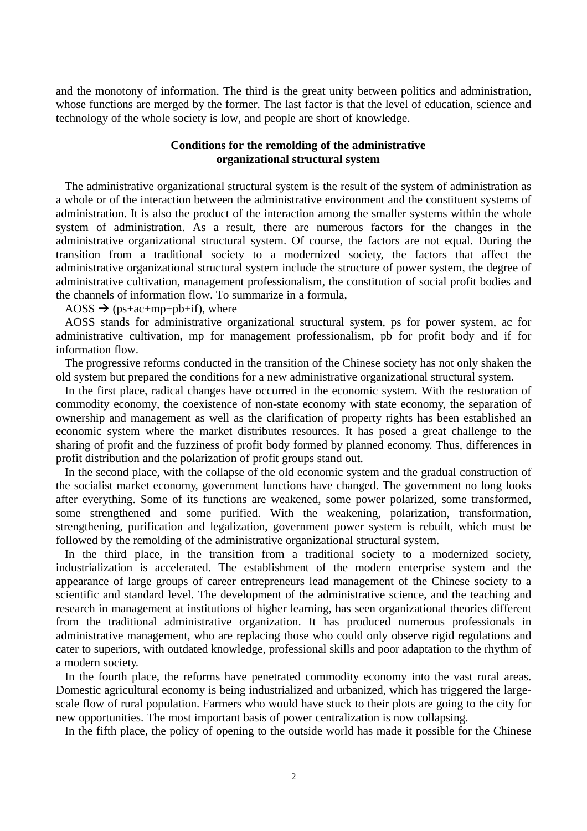and the monotony of information. The third is the great unity between politics and administration, whose functions are merged by the former. The last factor is that the level of education, science and technology of the whole society is low, and people are short of knowledge.

### **Conditions for the remolding of the administrative organizational structural system**

The administrative organizational structural system is the result of the system of administration as a whole or of the interaction between the administrative environment and the constituent systems of administration. It is also the product of the interaction among the smaller systems within the whole system of administration. As a result, there are numerous factors for the changes in the administrative organizational structural system. Of course, the factors are not equal. During the transition from a traditional society to a modernized society, the factors that affect the administrative organizational structural system include the structure of power system, the degree of administrative cultivation, management professionalism, the constitution of social profit bodies and the channels of information flow. To summarize in a formula,

AOSS  $\rightarrow$  (ps+ac+mp+pb+if), where

AOSS stands for administrative organizational structural system, ps for power system, ac for administrative cultivation, mp for management professionalism, pb for profit body and if for information flow.

The progressive reforms conducted in the transition of the Chinese society has not only shaken the old system but prepared the conditions for a new administrative organizational structural system.

In the first place, radical changes have occurred in the economic system. With the restoration of commodity economy, the coexistence of non-state economy with state economy, the separation of ownership and management as well as the clarification of property rights has been established an economic system where the market distributes resources. It has posed a great challenge to the sharing of profit and the fuzziness of profit body formed by planned economy. Thus, differences in profit distribution and the polarization of profit groups stand out.

In the second place, with the collapse of the old economic system and the gradual construction of the socialist market economy, government functions have changed. The government no long looks after everything. Some of its functions are weakened, some power polarized, some transformed, some strengthened and some purified. With the weakening, polarization, transformation, strengthening, purification and legalization, government power system is rebuilt, which must be followed by the remolding of the administrative organizational structural system.

In the third place, in the transition from a traditional society to a modernized society, industrialization is accelerated. The establishment of the modern enterprise system and the appearance of large groups of career entrepreneurs lead management of the Chinese society to a scientific and standard level. The development of the administrative science, and the teaching and research in management at institutions of higher learning, has seen organizational theories different from the traditional administrative organization. It has produced numerous professionals in administrative management, who are replacing those who could only observe rigid regulations and cater to superiors, with outdated knowledge, professional skills and poor adaptation to the rhythm of a modern society.

In the fourth place, the reforms have penetrated commodity economy into the vast rural areas. Domestic agricultural economy is being industrialized and urbanized, which has triggered the largescale flow of rural population. Farmers who would have stuck to their plots are going to the city for new opportunities. The most important basis of power centralization is now collapsing.

In the fifth place, the policy of opening to the outside world has made it possible for the Chinese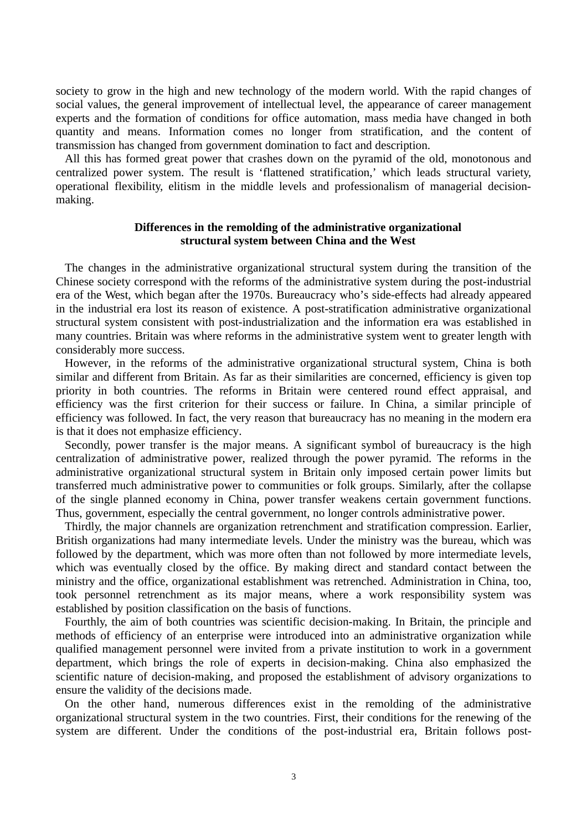society to grow in the high and new technology of the modern world. With the rapid changes of social values, the general improvement of intellectual level, the appearance of career management experts and the formation of conditions for office automation, mass media have changed in both quantity and means. Information comes no longer from stratification, and the content of transmission has changed from government domination to fact and description.

All this has formed great power that crashes down on the pyramid of the old, monotonous and centralized power system. The result is 'flattened stratification,' which leads structural variety, operational flexibility, elitism in the middle levels and professionalism of managerial decisionmaking.

#### **Differences in the remolding of the administrative organizational structural system between China and the West**

The changes in the administrative organizational structural system during the transition of the Chinese society correspond with the reforms of the administrative system during the post-industrial era of the West, which began after the 1970s. Bureaucracy who's side-effects had already appeared in the industrial era lost its reason of existence. A post-stratification administrative organizational structural system consistent with post-industrialization and the information era was established in many countries. Britain was where reforms in the administrative system went to greater length with considerably more success.

However, in the reforms of the administrative organizational structural system, China is both similar and different from Britain. As far as their similarities are concerned, efficiency is given top priority in both countries. The reforms in Britain were centered round effect appraisal, and efficiency was the first criterion for their success or failure. In China, a similar principle of efficiency was followed. In fact, the very reason that bureaucracy has no meaning in the modern era is that it does not emphasize efficiency.

Secondly, power transfer is the major means. A significant symbol of bureaucracy is the high centralization of administrative power, realized through the power pyramid. The reforms in the administrative organizational structural system in Britain only imposed certain power limits but transferred much administrative power to communities or folk groups. Similarly, after the collapse of the single planned economy in China, power transfer weakens certain government functions. Thus, government, especially the central government, no longer controls administrative power.

Thirdly, the major channels are organization retrenchment and stratification compression. Earlier, British organizations had many intermediate levels. Under the ministry was the bureau, which was followed by the department, which was more often than not followed by more intermediate levels, which was eventually closed by the office. By making direct and standard contact between the ministry and the office, organizational establishment was retrenched. Administration in China, too, took personnel retrenchment as its major means, where a work responsibility system was established by position classification on the basis of functions.

Fourthly, the aim of both countries was scientific decision-making. In Britain, the principle and methods of efficiency of an enterprise were introduced into an administrative organization while qualified management personnel were invited from a private institution to work in a government department, which brings the role of experts in decision-making. China also emphasized the scientific nature of decision-making, and proposed the establishment of advisory organizations to ensure the validity of the decisions made.

On the other hand, numerous differences exist in the remolding of the administrative organizational structural system in the two countries. First, their conditions for the renewing of the system are different. Under the conditions of the post-industrial era, Britain follows post-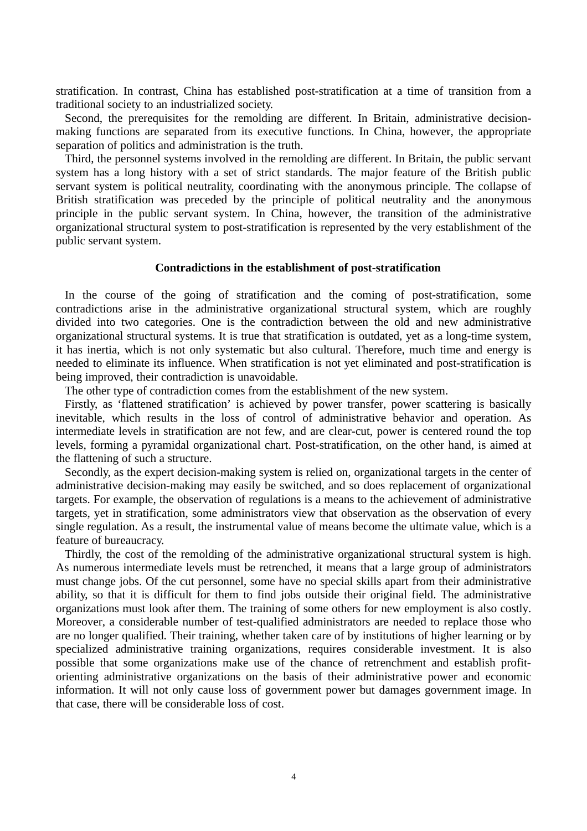stratification. In contrast, China has established post-stratification at a time of transition from a traditional society to an industrialized society.

Second, the prerequisites for the remolding are different. In Britain, administrative decisionmaking functions are separated from its executive functions. In China, however, the appropriate separation of politics and administration is the truth.

Third, the personnel systems involved in the remolding are different. In Britain, the public servant system has a long history with a set of strict standards. The major feature of the British public servant system is political neutrality, coordinating with the anonymous principle. The collapse of British stratification was preceded by the principle of political neutrality and the anonymous principle in the public servant system. In China, however, the transition of the administrative organizational structural system to post-stratification is represented by the very establishment of the public servant system.

#### **Contradictions in the establishment of post-stratification**

In the course of the going of stratification and the coming of post-stratification, some contradictions arise in the administrative organizational structural system, which are roughly divided into two categories. One is the contradiction between the old and new administrative organizational structural systems. It is true that stratification is outdated, yet as a long-time system, it has inertia, which is not only systematic but also cultural. Therefore, much time and energy is needed to eliminate its influence. When stratification is not yet eliminated and post-stratification is being improved, their contradiction is unavoidable.

The other type of contradiction comes from the establishment of the new system.

Firstly, as 'flattened stratification' is achieved by power transfer, power scattering is basically inevitable, which results in the loss of control of administrative behavior and operation. As intermediate levels in stratification are not few, and are clear-cut, power is centered round the top levels, forming a pyramidal organizational chart. Post-stratification, on the other hand, is aimed at the flattening of such a structure.

Secondly, as the expert decision-making system is relied on, organizational targets in the center of administrative decision-making may easily be switched, and so does replacement of organizational targets. For example, the observation of regulations is a means to the achievement of administrative targets, yet in stratification, some administrators view that observation as the observation of every single regulation. As a result, the instrumental value of means become the ultimate value, which is a feature of bureaucracy.

Thirdly, the cost of the remolding of the administrative organizational structural system is high. As numerous intermediate levels must be retrenched, it means that a large group of administrators must change jobs. Of the cut personnel, some have no special skills apart from their administrative ability, so that it is difficult for them to find jobs outside their original field. The administrative organizations must look after them. The training of some others for new employment is also costly. Moreover, a considerable number of test-qualified administrators are needed to replace those who are no longer qualified. Their training, whether taken care of by institutions of higher learning or by specialized administrative training organizations, requires considerable investment. It is also possible that some organizations make use of the chance of retrenchment and establish profitorienting administrative organizations on the basis of their administrative power and economic information. It will not only cause loss of government power but damages government image. In that case, there will be considerable loss of cost.